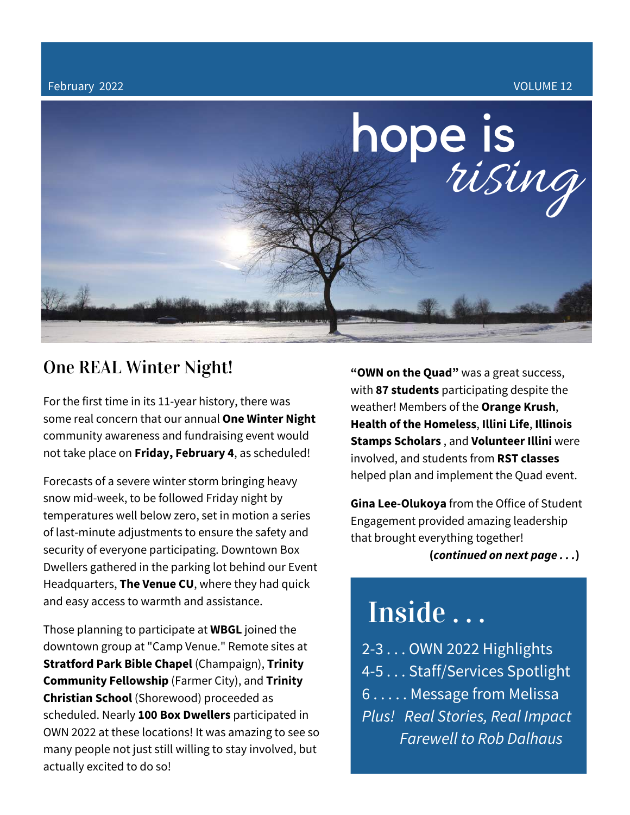February 2022 VOLUME 12



### One REAL Winter Night!

For the first time in its 11-year history, there was some real concern that our annual **One Winter Night** community awareness and fundraising event would not take place on **Friday, February 4**, as scheduled!

Forecasts of a severe winter storm bringing heavy snow mid-week, to be followed Friday night by temperatures well below zero, set in motion a series of last-minute adjustments to ensure the safety and security of everyone participating. Downtown Box Dwellers gathered in the parking lot behind our Event Headquarters, **The Venue CU**, where they had quick and easy access to warmth and assistance.

Those planning to participate at **WBGL** joined the downtown group at "Camp Venue." Remote sites at **Stratford Park Bible Chapel** (Champaign), **Trinity Community Fellowship** (Farmer City), and **Trinity Christian School** (Shorewood) proceeded as scheduled. Nearly **100 Box Dwellers** participated in OWN 2022 at these locations! It was amazing to see so many people not just still willing to stay involved, but actually excited to do so!

**"OWN on the Quad"** was a great success, with **87 students** participating despite the weather! Members of the **Orange Krush**, **Health of the Homeless**, **Illini Life**, **Illinois Stamps Scholars** , and **Volunteer Illini** were involved, and students from **RST classes** helped plan and implement the Quad event.

**Gina Lee-Olukoya** from the Office of Student Engagement provided amazing leadership that brought everything together! **(***continued on next page . . .***)**

# Inside . . .

2-3 . . . OWN 2022 Highlights 4-5 . . . Staff/Services Spotlight 6 . . . . . Message from Melissa *Plus! Real Stories, Real Impact Farewell to Rob Dalhaus*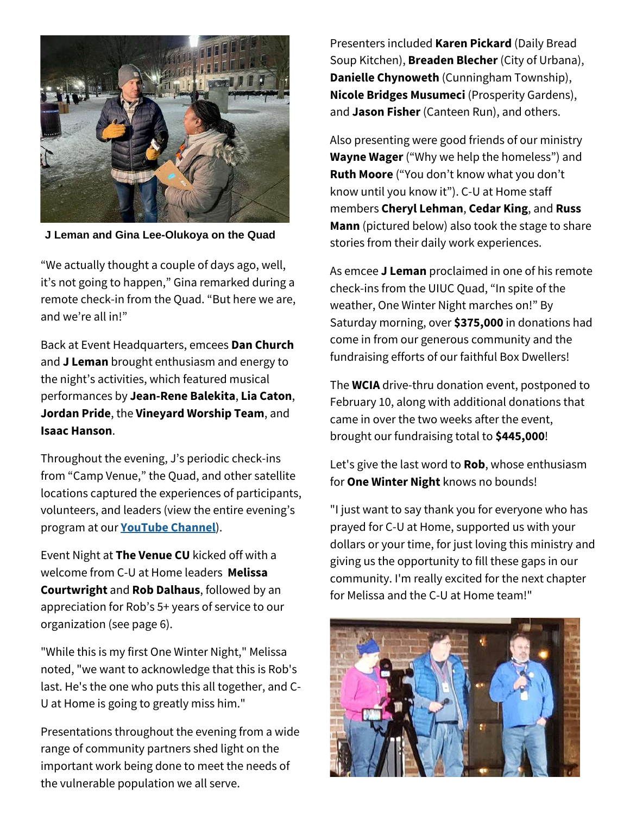

**J Leman and Gina Lee-Olukoya on the Quad**

"We actually thought a couple of days ago, well, it's not going to happen," Gina remarked during a remote check-in from the Quad. "But here we are, and we're all in!"

Back at Event Headquarters, emcees **Dan Church** and **J Leman** brought enthusiasm and energy to the night's activities, which featured musical performances by **Jean-Rene Balekita**, **Lia Caton**, **Jordan Pride**, the **Vineyard Worship Team**, and **Isaac Hanson**.

Throughout the evening, J's periodic check-ins from "Camp Venue," the Quad, and other satellite locations captured the experiences of participants, volunteers, and leaders (view the entire evening's program at our **[YouTube](https://youtu.be/FL2wr1sZ7EE) Channel**).

Event Night at **The Venue CU** kicked off with a welcome from C-U at Home leaders **Melissa Courtwright** and **Rob Dalhaus**, followed by an appreciation for Rob's 5+ years of service to our organization (see page 6).

"While this is my first One Winter Night," Melissa noted, "we want to acknowledge that this is Rob's last. He's the one who puts this all together, and C-U at Home is going to greatly miss him."

Presentations throughout the evening from a wide range of community partners shed light on the important work being done to meet the needs of the vulnerable population we all serve.

Presenters included **Karen Pickard** (Daily Bread Soup Kitchen), **Breaden Blecher** (City of Urbana), **Danielle Chynoweth** (Cunningham Township), **Nicole Bridges Musumeci** (Prosperity Gardens), and **Jason Fisher** (Canteen Run), and others.

Also presenting were good friends of our ministry **Wayne Wager** ("Why we help the homeless") and **Ruth Moore** ("You don't know what you don't know until you know it"). C-U at Home staff members **Cheryl Lehman**, **Cedar King**, and **Russ Mann** (pictured below) also took the stage to share stories from their daily work experiences.

As emcee **J Leman** proclaimed in one of his remote check-ins from the UIUC Quad, "In spite of the weather, One Winter Night marches on!" By Saturday morning, over **\$375,000** in donations had come in from our generous community and the fundraising efforts of our faithful Box Dwellers!

The **WCIA** drive-thru donation event, postponed to February 10, along with additional donations that came in over the two weeks after the event, brought our fundraising total to **\$445,000**!

Let's give the last word to **Rob**, whose enthusiasm for **One Winter Night** knows no bounds!

"I just want to say thank you for everyone who has prayed for C-U at Home, supported us with your dollars or your time, for just loving this ministry and giving us the opportunity to fill these gaps in our community. I'm really excited for the next chapter for Melissa and the C-U at Home team!"

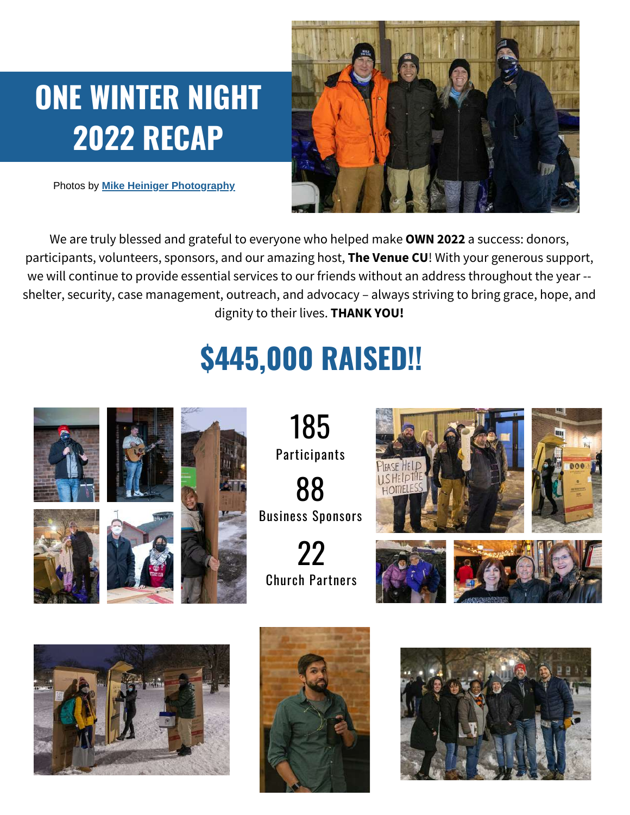# **ONE WINTER NIGHT 2022 RECAP**

Photos by **Mike Heiniger [Photography](https://mikeheinigerphotography.com/)**



We are truly blessed and grateful to everyone who helped make **OWN 2022** a success: donors, participants, volunteers, sponsors, and our amazing host, **The Venue CU**! With your generous support, we will continue to provide essential services to our friends without an address throughout the year - shelter, security, case management, outreach, and advocacy – always striving to bring grace, hope, and dignity to their lives. **THANK YOU!**

# **\$445,000 RAISED!!**



185 **Participants** 

88 Business Sponsors

22 Church Partners











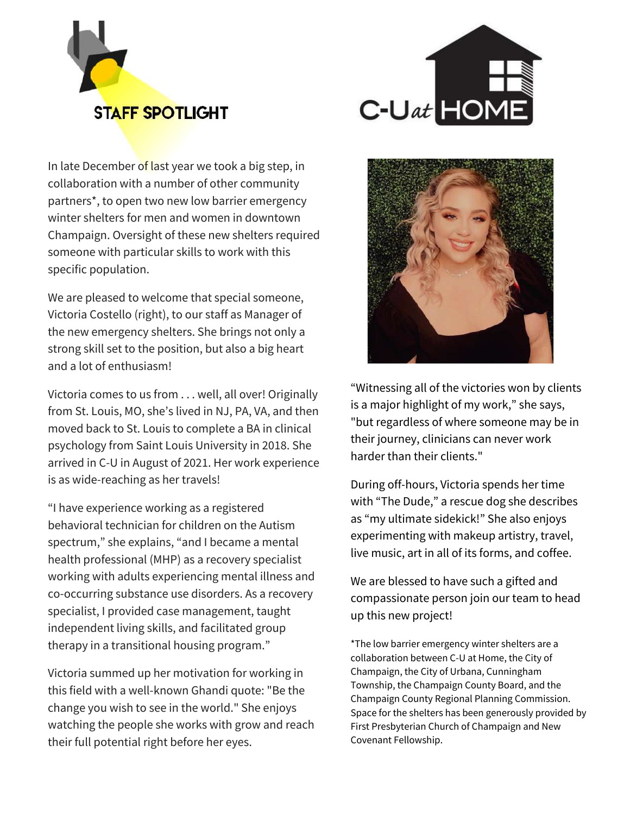



In late December of last year we took a big step, in collaboration with a number of other community partners\*, to open two new low barrier emergency winter shelters for men and women in downtown Champaign. Oversight of these new shelters required someone with particular skills to work with this specific population.

We are pleased to welcome that special someone, Victoria Costello (right), to our staff as Manager of the new emergency shelters. She brings not only a strong skill set to the position, but also a big heart and a lot of enthusiasm!

Victoria comes to us from . . . well, all over! Originally from St. Louis, MO, she's lived in NJ, PA, VA, and then moved back to St. Louis to complete a BA in clinical psychology from Saint Louis University in 2018. She arrived in C-U in August of 2021. Her work experience is as wide-reaching as her travels!

"I have experience working as a registered behavioral technician for children on the Autism spectrum," she explains, "and I became a mental health professional (MHP) as a recovery specialist working with adults experiencing mental illness and co-occurring substance use disorders. As a recovery specialist, I provided case management, taught independent living skills, and facilitated group therapy in a transitional housing program."

Victoria summed up her motivation for working in this field with a well-known Ghandi quote: "Be the change you wish to see in the world." She enjoys watching the people she works with grow and reach their full potential right before her eyes.



"Witnessing all of the victories won by clients is a major highlight of my work," she says, "but regardless of where someone may be in their journey, clinicians can never work harder than their clients."

During off-hours, Victoria spends her time with "The Dude," a rescue dog she describes as "my ultimate sidekick!" She also enjoys experimenting with makeup artistry, travel, live music, art in all of its forms, and coffee.

We are blessed to have such a gifted and compassionate person join our team to head up this new project!

\*The low barrier emergency winter shelters are a collaboration between C-U at Home, the City of Champaign, the City of Urbana, Cunningham Township, the Champaign County Board, and the Champaign County Regional Planning Commission. Space for the shelters has been generously provided by First Presbyterian Church of Champaign and New Covenant Fellowship.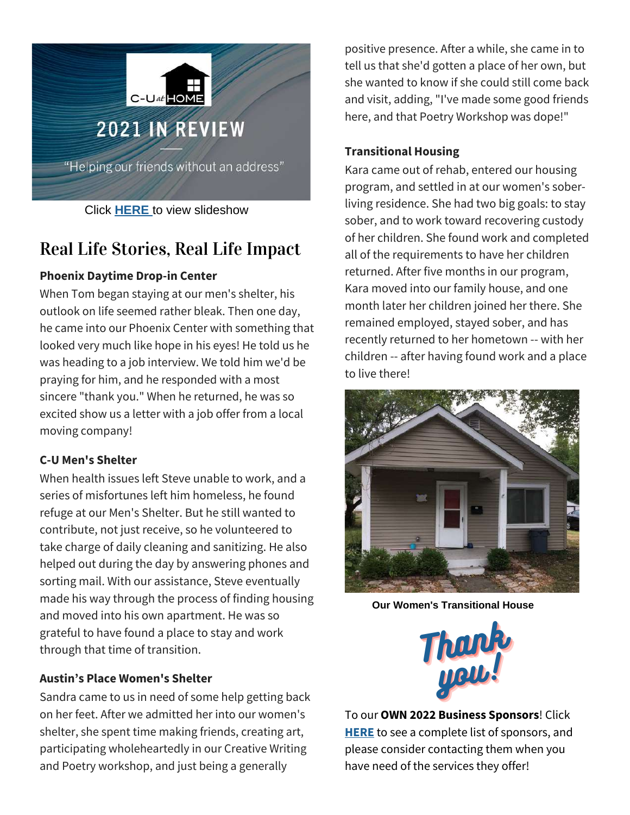

Click **[HERE](https://youtu.be/NthII5v50-w)** to view slideshow

## Real Life Stories, Real Life Impact

#### **Phoenix Daytime Drop-in Center**

When Tom began staying at our men's shelter, his outlook on life seemed rather bleak. Then one day, he came into our Phoenix Center with something that looked very much like hope in his eyes! He told us he was heading to a job interview. We told him we'd be praying for him, and he responded with a most sincere "thank you." When he returned, he was so excited show us a letter with a job offer from a local moving company!

#### **C-U Men's Shelter**

When health issues left Steve unable to work, and a series of misfortunes left him homeless, he found refuge at our Men's Shelter. But he still wanted to contribute, not just receive, so he volunteered to take charge of daily cleaning and sanitizing. He also helped out during the day by answering phones and sorting mail. With our assistance, Steve eventually made his way through the process of finding housing and moved into his own apartment. He was so grateful to have found a place to stay and work through that time of transition.

#### **Austin's Place Women's Shelter**

Sandra came to us in need of some help getting back on her feet. After we admitted her into our women's shelter, she spent time making friends, creating art, participating wholeheartedly in our Creative Writing and Poetry workshop, and just being a generally

positive presence. After a while, she came in to tell us that she'd gotten a place of her own, but she wanted to know if she could still come back and visit, adding, "I've made some good friends here, and that Poetry Workshop was dope!"

#### **Transitional Housing**

Kara came out of rehab, entered our housing program, and settled in at our women's soberliving residence. She had two big goals: to stay sober, and to work toward recovering custody of her children. She found work and completed all of the requirements to have her children returned. After five months in our program, Kara moved into our family house, and one month later her children joined her there. She remained employed, stayed sober, and has recently returned to her hometown -- with her children -- after having found work and a place to live there!



**Our Women's Transitional House**



To our **OWN 2022 Business Sponsors**! Click **[HERE](https://www.cuathome.us/one-winter-night/)** to see a complete list of sponsors, and please consider contacting them when you have need of the services they offer!